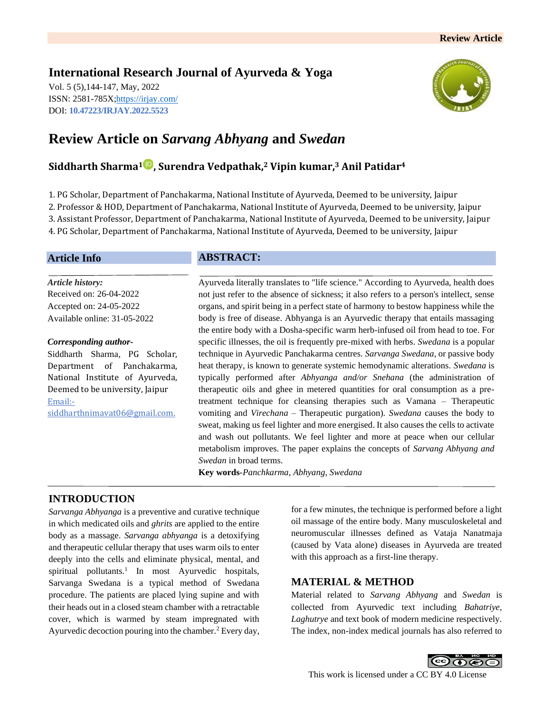# **International Research Journal of Ayurveda & Yoga**

Vol. 5 (5),144-147, May, 2022 ISSN: 2581-785X[; https://irjay.com/](https://irjay.com/) DOI: **10.47223/IRJAY.2022.5523**



# **Review Article on** *Sarvang Abhyang* **and** *Swedan*

# **Siddharth Sharma<sup>1</sup> , Surendra Vedpathak, <sup>2</sup> Vipin kumar, <sup>3</sup> Anil Patidar<sup>4</sup>**

1. PG Scholar, Department of Panchakarma, National Institute of Ayurveda, Deemed to be university, Jaipur 2. Professor & HOD, Department of Panchakarma, National Institute of Ayurveda, Deemed to be university, Jaipur 3. Assistant Professor, Department of Panchakarma, National Institute of Ayurveda, Deemed to be university, Jaipur 4. PG Scholar, Department of Panchakarma, National Institute of Ayurveda, Deemed to be university, Jaipur

## **Article Info**

*Article history:* Received on: 26-04-2022 Accepted on: 24-05-2022 Available online: 31-05-2022

#### *Corresponding author-*

Siddharth Sharma, PG Scholar, Department of Panchakarma, National Institute of Ayurveda, Deemed to be university, Jaipur Email: siddharthnimavat06@gmail.com.

# **ABSTRACT:**

Ayurveda literally translates to "life science." According to Ayurveda, health does not just refer to the absence of sickness; it also refers to a person's intellect, sense organs, and spirit being in a perfect state of harmony to bestow happiness while the body is free of disease. Abhyanga is an Ayurvedic therapy that entails massaging the entire body with a Dosha-specific warm herb-infused oil from head to toe. For specific illnesses, the oil is frequently pre-mixed with herbs. *Swedana* is a popular technique in Ayurvedic Panchakarma centres. *Sarvanga Swedana*, or passive body heat therapy, is known to generate systemic hemodynamic alterations. *Swedana* is typically performed after *Abhyanga and/or Snehana* (the administration of therapeutic oils and ghee in metered quantities for oral consumption as a pretreatment technique for cleansing therapies such as Vamana – Therapeutic vomiting and *Virechana* – Therapeutic purgation). *Swedana* causes the body to sweat, making us feel lighter and more energised. It also causes the cells to activate and wash out pollutants. We feel lighter and more at peace when our cellular metabolism improves. The paper explains the concepts of *Sarvang Abhyang and Swedan* in broad terms.

**Key words**-*Panchkarma*, *Abhyang, Swedana*

# **INTRODUCTION**

*Sarvanga Abhyanga* is a preventive and curative technique in which medicated oils and *ghrits* are applied to the entire body as a massage. *Sarvanga abhyanga* is a detoxifying and therapeutic cellular therapy that uses warm oils to enter deeply into the cells and eliminate physical, mental, and spiritual pollutants.<sup>1</sup> In most Ayurvedic hospitals, Sarvanga Swedana is a typical method of Swedana procedure. The patients are placed lying supine and with their heads out in a closed steam chamber with a retractable cover, which is warmed by steam impregnated with Ayurvedic decoction pouring into the chamber.<sup>2</sup> Every day,

for a few minutes, the technique is performed before a light oil massage of the entire body. Many musculoskeletal and neuromuscular illnesses defined as Vataja Nanatmaja (caused by Vata alone) diseases in Ayurveda are treated with this approach as a first-line therapy.

## **MATERIAL & METHOD**

Material related to *Sarvang Abhyang* and *Swedan* is collected from Ayurvedic text including *Bahatriye, Laghutrye* and text book of modern medicine respectively. The index, non-index medical journals has also referred to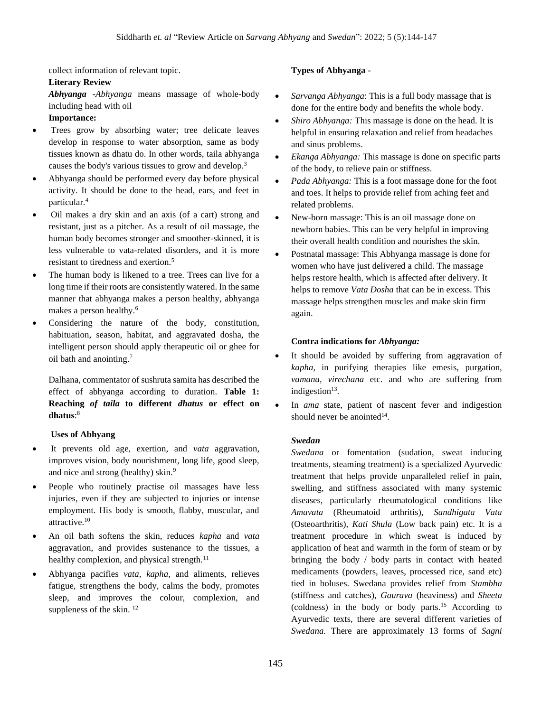collect information of relevant topic.

#### **Literary Review**

*Abhyanga -Abhyanga* means massage of whole-body including head with oil

#### **Importance:**

- Trees grow by absorbing water; tree delicate leaves develop in response to water absorption, same as body tissues known as dhatu do. In other words, taila abhyanga causes the body's various tissues to grow and develop.<sup>3</sup>
- Abhyanga should be performed every day before physical activity. It should be done to the head, ears, and feet in particular.<sup>4</sup>
- Oil makes a dry skin and an axis (of a cart) strong and resistant, just as a pitcher. As a result of oil massage, the human body becomes stronger and smoother-skinned, it is less vulnerable to vata-related disorders, and it is more resistant to tiredness and exertion.<sup>5</sup>
- The human body is likened to a tree. Trees can live for a long time if their roots are consistently watered. In the same manner that abhyanga makes a person healthy, abhyanga makes a person healthy.<sup>6</sup>
- Considering the nature of the body, constitution, habituation, season, habitat, and aggravated dosha, the intelligent person should apply therapeutic oil or ghee for oil bath and anointing.<sup>7</sup>

Dalhana, commentator of sushruta samita has described the effect of abhyanga according to duration. **Table 1: Reaching** *of taila* **to different** *dhatus* **or effect on dhatus**: 8

## **Uses of Abhyang**

- It prevents old age, exertion, and *vata* aggravation, improves vision, body nourishment, long life, good sleep, and nice and strong (healthy) skin.<sup>9</sup>
- People who routinely practise oil massages have less injuries, even if they are subjected to injuries or intense employment. His body is smooth, flabby, muscular, and attractive.<sup>10</sup>
- An oil bath softens the skin, reduces *kapha* and *vata* aggravation, and provides sustenance to the tissues, a healthy complexion, and physical strength. $11$
- Abhyanga pacifies *vata, kapha,* and aliments, relieves fatigue, strengthens the body, calms the body, promotes sleep, and improves the colour, complexion, and suppleness of the skin.  $12$

#### **Types of Abhyanga -**

- *Sarvanga Abhyanga*: This is a full body massage that is done for the entire body and benefits the whole body.
- *Shiro Abhyanga:* This massage is done on the head. It is helpful in ensuring relaxation and relief from headaches and sinus problems.
- *Ekanga Abhyanga:* This massage is done on specific parts of the body, to relieve pain or stiffness.
- *Pada Abhyanga:* This is a foot massage done for the foot and toes. It helps to provide relief from aching feet and related problems.
- New-born massage: This is an oil massage done on newborn babies. This can be very helpful in improving their overall health condition and nourishes the skin.
- Postnatal massage: This Abhyanga massage is done for women who have just delivered a child. The massage helps restore health, which is affected after delivery. It helps to remove *Vata Dosha* that can be in excess. This massage helps strengthen muscles and make skin firm again.

#### **Contra indications for** *Abhyanga:*

- It should be avoided by suffering from aggravation of *kapha*, in purifying therapies like emesis, purgation, *vamana, virechana* etc. and who are suffering from indigestion<sup>13</sup>.
- In *ama* state, patient of nascent fever and indigestion should never be anointed $14$ .

#### *Swedan*

*Swedana* or fomentation (sudation, sweat inducing treatments, steaming treatment) is a specialized Ayurvedic treatment that helps provide unparalleled relief in pain, swelling, and stiffness associated with many systemic diseases, particularly rheumatological conditions like *Amavata* (Rheumatoid arthritis), *Sandhigata Vata* (Osteoarthritis), *Kati Shula* (Low back pain) etc. It is a treatment procedure in which sweat is induced by application of heat and warmth in the form of steam or by bringing the body / body parts in contact with heated medicaments (powders, leaves, processed rice, sand etc) tied in boluses. Swedana provides relief from *Stambha*  (stiffness and catches), *Gaurava* (heaviness) and *Sheeta* (coldness) in the body or body parts.<sup>15</sup> According to Ayurvedic texts, there are several different varieties of *Swedana.* There are approximately 13 forms of *Sagni*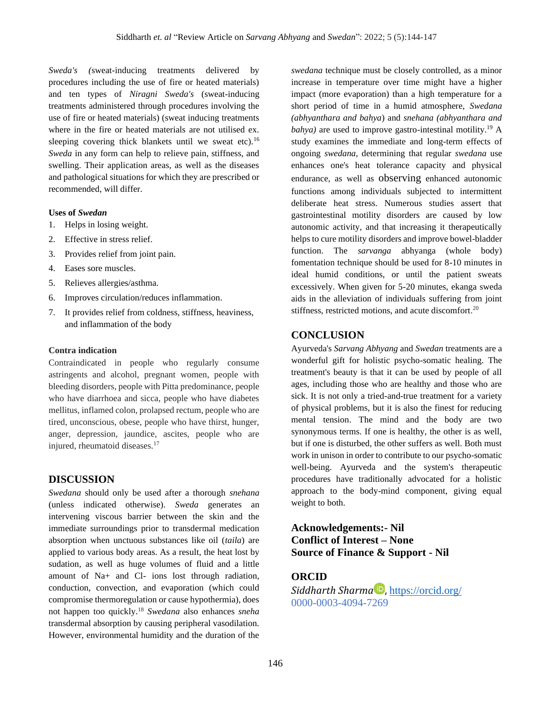*Sweda's (*sweat-inducing treatments delivered by procedures including the use of fire or heated materials) and ten types of *Niragni Sweda's* (sweat-inducing treatments administered through procedures involving the use of fire or heated materials) (sweat inducing treatments where in the fire or heated materials are not utilised ex. sleeping covering thick blankets until we sweat etc).<sup>16</sup> *Sweda* in any form can help to relieve pain, stiffness, and swelling. Their application areas, as well as the diseases and pathological situations for which they are prescribed or recommended, will differ.

#### **Uses of** *Swedan*

- 1. Helps in losing weight.
- 2. Effective in stress relief.
- 3. Provides relief from joint pain.
- 4. Eases sore muscles.
- 5. Relieves allergies/asthma.
- 6. Improves circulation/reduces inflammation.
- 7. It provides relief from coldness, stiffness, heaviness, and inflammation of the body

#### **Contra indication**

Contraindicated in people who regularly consume astringents and alcohol, pregnant women, people with bleeding disorders, people with Pitta predominance, people who have diarrhoea and sicca, people who have diabetes mellitus, inflamed colon, prolapsed rectum, people who are tired, unconscious, obese, people who have thirst, hunger, anger, depression, jaundice, ascites, people who are injured, rheumatoid diseases.<sup>17</sup>

## **DISCUSSION**

*Swedana* should only be used after a thorough *snehana* (unless indicated otherwise). *Sweda* generates an intervening viscous barrier between the skin and the immediate surroundings prior to transdermal medication absorption when unctuous substances like oil (*taila*) are applied to various body areas. As a result, the heat lost by sudation, as well as huge volumes of fluid and a little amount of Na+ and Cl- ions lost through radiation, conduction, convection, and evaporation (which could compromise thermoregulation or cause hypothermia), does not happen too quickly.<sup>18</sup> *Swedana* also enhances *sneha* transdermal absorption by causing peripheral vasodilation. However, environmental humidity and the duration of the *swedana* technique must be closely controlled, as a minor increase in temperature over time might have a higher impact (more evaporation) than a high temperature for a short period of time in a humid atmosphere, *Swedana (abhyanthara and bahya*) and *snehana (abhyanthara and bahya*) are used to improve gastro-intestinal motility.<sup>19</sup> A study examines the immediate and long-term effects of ongoing *swedana,* determining that regular *swedana* use enhances one's heat tolerance capacity and physical endurance, as well as observing enhanced autonomic functions among individuals subjected to intermittent deliberate heat stress. Numerous studies assert that gastrointestinal motility disorders are caused by low autonomic activity, and that increasing it therapeutically helps to cure motility disorders and improve bowel-bladder function. The *sarvanga* abhyanga (whole body) fomentation technique should be used for 8-10 minutes in ideal humid conditions, or until the patient sweats excessively. When given for 5-20 minutes, ekanga sweda aids in the alleviation of individuals suffering from joint stiffness, restricted motions, and acute discomfort.<sup>20</sup>

## **CONCLUSION**

Ayurveda's *Sarvang Abhyang* and *Swedan* treatments are a wonderful gift for holistic psycho-somatic healing. The treatment's beauty is that it can be used by people of all ages, including those who are healthy and those who are sick. It is not only a tried-and-true treatment for a variety of physical problems, but it is also the finest for reducing mental tension. The mind and the body are two synonymous terms. If one is healthy, the other is as well, but if one is disturbed, the other suffers as well. Both must work in unison in order to contribute to our psycho-somatic well-being. Ayurveda and the system's therapeutic procedures have traditionally advocated for a holistic approach to the body-mind component, giving equal weight to both.

**Acknowledgements:- Nil Conflict of Interest – None Source of Finance & Support - Nil**

## **ORCID**

*Siddharth Sharma* **D**, <https://orcid.org/> 0000-0003-4094-7269